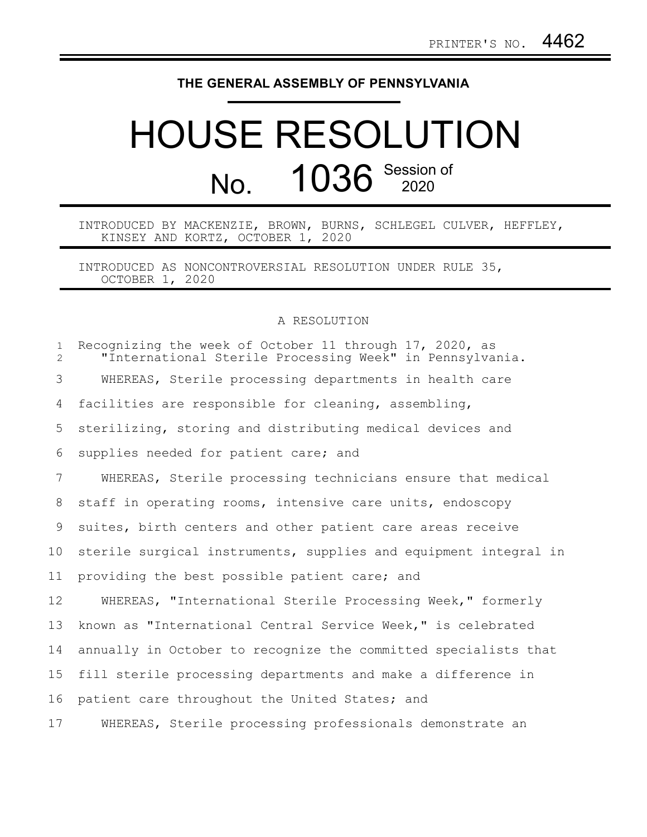## **THE GENERAL ASSEMBLY OF PENNSYLVANIA**

## HOUSE RESOLUTION No. 1036 Session of

INTRODUCED BY MACKENZIE, BROWN, BURNS, SCHLEGEL CULVER, HEFFLEY, KINSEY AND KORTZ, OCTOBER 1, 2020

INTRODUCED AS NONCONTROVERSIAL RESOLUTION UNDER RULE 35, OCTOBER 1, 2020

## A RESOLUTION

| $\mathbf{1}$<br>$\mathcal{L}$ | Recognizing the week of October 11 through 17, 2020, as<br>"International Sterile Processing Week" in Pennsylvania. |
|-------------------------------|---------------------------------------------------------------------------------------------------------------------|
| 3                             | WHEREAS, Sterile processing departments in health care                                                              |
| 4                             | facilities are responsible for cleaning, assembling,                                                                |
| 5                             | sterilizing, storing and distributing medical devices and                                                           |
| 6                             | supplies needed for patient care; and                                                                               |
| 7                             | WHEREAS, Sterile processing technicians ensure that medical                                                         |
| 8                             | staff in operating rooms, intensive care units, endoscopy                                                           |
| 9                             | suites, birth centers and other patient care areas receive                                                          |
| 10                            | sterile surgical instruments, supplies and equipment integral in                                                    |
| 11                            | providing the best possible patient care; and                                                                       |
| 12                            | WHEREAS, "International Sterile Processing Week," formerly                                                          |
| 13                            | known as "International Central Service Week," is celebrated                                                        |
| 14                            | annually in October to recognize the committed specialists that                                                     |
| 15                            | fill sterile processing departments and make a difference in                                                        |
| 16                            | patient care throughout the United States; and                                                                      |
| 17                            | WHEREAS, Sterile processing professionals demonstrate an                                                            |